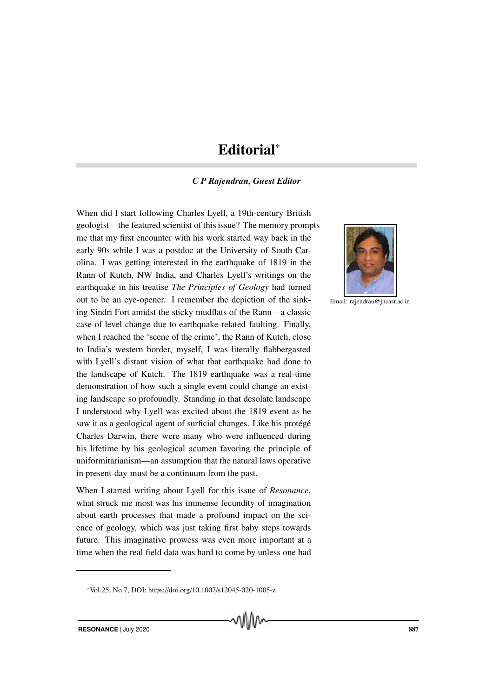# Editorial<sup>∗</sup>

# *C P Rajendran, Guest Editor*

When did I start following Charles Lyell, a 19th-century British geologist—the featured scientist of this issue? The memory prompts me that my first encounter with his work started way back in the early 90s while I was a postdoc at the University of South Carolina. I was getting interested in the earthquake of 1819 in the Rann of Kutch, NW India, and Charles Lyell's writings on the earthquake in his treatise *The Principles of Geology* had turned out to be an eye-opener. I remember the depiction of the sinking Sindri Fort amidst the sticky mudflats of the Rann—a classic case of level change due to earthquake-related faulting. Finally, when I reached the 'scene of the crime', the Rann of Kutch, close to India's western border, myself, I was literally flabbergasted with Lyell's distant vision of what that earthquake had done to the landscape of Kutch. The 1819 earthquake was a real-time demonstration of how such a single event could change an existing landscape so profoundly. Standing in that desolate landscape I understood why Lyell was excited about the 1819 event as he saw it as a geological agent of surficial changes. Like his protégé Charles Darwin, there were many who were influenced during his lifetime by his geological acumen favoring the principle of uniformitarianism—an assumption that the natural laws operative in present-day must be a continuum from the past.

When I started writing about Lyell for this issue of *Resonance*, what struck me most was his immense fecundity of imagination about earth processes that made a profound impact on the science of geology, which was just taking first baby steps towards future. This imaginative prowess was even more important at a time when the real field data was hard to come by unless one had



Email: rajendran@jncasr.ac.in

<sup>∗</sup>Vol.25, No.7, DOI: https://doi.org/10.1007/s12045-020-1005-z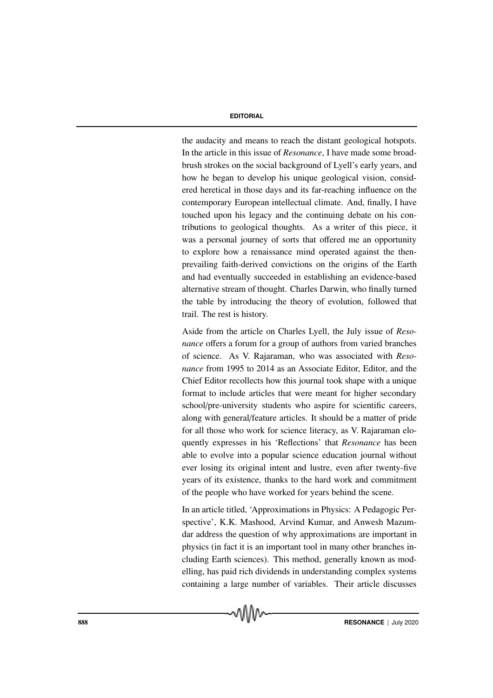the audacity and means to reach the distant geological hotspots. In the article in this issue of *Resonance*, I have made some broadbrush strokes on the social background of Lyell's early years, and how he began to develop his unique geological vision, considered heretical in those days and its far-reaching influence on the contemporary European intellectual climate. And, finally, I have touched upon his legacy and the continuing debate on his contributions to geological thoughts. As a writer of this piece, it was a personal journey of sorts that offered me an opportunity to explore how a renaissance mind operated against the thenprevailing faith-derived convictions on the origins of the Earth and had eventually succeeded in establishing an evidence-based alternative stream of thought. Charles Darwin, who finally turned the table by introducing the theory of evolution, followed that trail. The rest is history.

Aside from the article on Charles Lyell, the July issue of *Resonance* offers a forum for a group of authors from varied branches of science. As V. Rajaraman, who was associated with *Resonance* from 1995 to 2014 as an Associate Editor, Editor, and the Chief Editor recollects how this journal took shape with a unique format to include articles that were meant for higher secondary school/pre-university students who aspire for scientific careers, along with general/feature articles. It should be a matter of pride for all those who work for science literacy, as V. Rajaraman eloquently expresses in his 'Reflections' that *Resonance* has been able to evolve into a popular science education journal without ever losing its original intent and lustre, even after twenty-five years of its existence, thanks to the hard work and commitment of the people who have worked for years behind the scene.

In an article titled, 'Approximations in Physics: A Pedagogic Perspective', K.K. Mashood, Arvind Kumar, and Anwesh Mazumdar address the question of why approximations are important in physics (in fact it is an important tool in many other branches including Earth sciences). This method, generally known as modelling, has paid rich dividends in understanding complex systems containing a large number of variables. Their article discusses

√∖\\\∧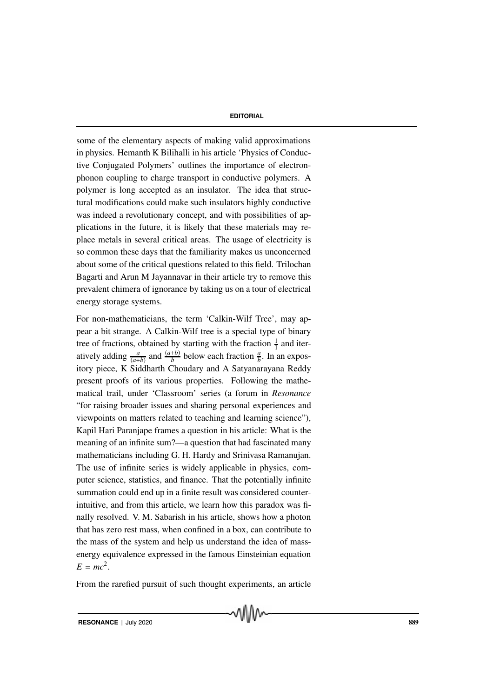some of the elementary aspects of making valid approximations in physics. Hemanth K Bilihalli in his article 'Physics of Conductive Conjugated Polymers' outlines the importance of electronphonon coupling to charge transport in conductive polymers. A polymer is long accepted as an insulator. The idea that structural modifications could make such insulators highly conductive was indeed a revolutionary concept, and with possibilities of applications in the future, it is likely that these materials may replace metals in several critical areas. The usage of electricity is so common these days that the familiarity makes us unconcerned about some of the critical questions related to this field. Trilochan Bagarti and Arun M Jayannavar in their article try to remove this prevalent chimera of ignorance by taking us on a tour of electrical energy storage systems.

For non-mathematicians, the term 'Calkin-Wilf Tree', may appear a bit strange. A Calkin-Wilf tree is a special type of binary tree of fractions, obtained by starting with the fraction  $\frac{1}{1}$  and iteratively adding  $\frac{a}{(a+b)}$  and  $\frac{(a+b)}{b}$  below each fraction  $\frac{a}{b}$ . In an expository piece, K Siddharth Choudary and A Satyanarayana Reddy present proofs of its various properties. Following the mathematical trail, under 'Classroom' series (a forum in *Resonance* "for raising broader issues and sharing personal experiences and viewpoints on matters related to teaching and learning science"), Kapil Hari Paranjape frames a question in his article: What is the meaning of an infinite sum?—a question that had fascinated many mathematicians including G. H. Hardy and Srinivasa Ramanujan. The use of infinite series is widely applicable in physics, computer science, statistics, and finance. That the potentially infinite summation could end up in a finite result was considered counterintuitive, and from this article, we learn how this paradox was finally resolved. V. M. Sabarish in his article, shows how a photon that has zero rest mass, when confined in a box, can contribute to the mass of the system and help us understand the idea of massenergy equivalence expressed in the famous Einsteinian equation  $E = mc^2$ .

From the rarefied pursuit of such thought experiments, an article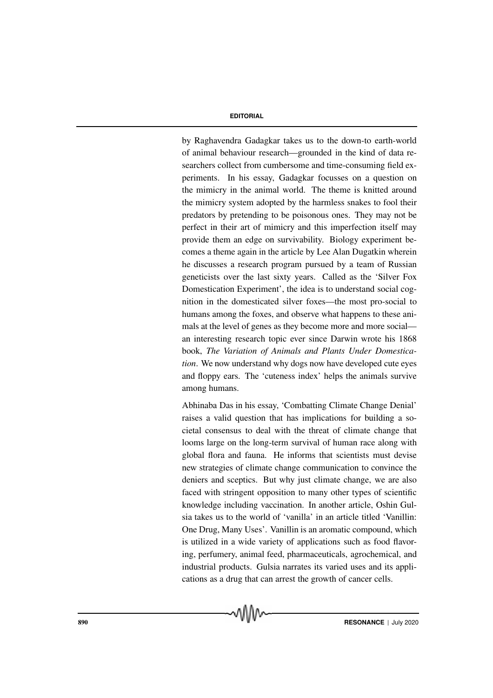by Raghavendra Gadagkar takes us to the down-to earth-world of animal behaviour research—grounded in the kind of data researchers collect from cumbersome and time-consuming field experiments. In his essay, Gadagkar focusses on a question on the mimicry in the animal world. The theme is knitted around the mimicry system adopted by the harmless snakes to fool their predators by pretending to be poisonous ones. They may not be perfect in their art of mimicry and this imperfection itself may provide them an edge on survivability. Biology experiment becomes a theme again in the article by Lee Alan Dugatkin wherein he discusses a research program pursued by a team of Russian geneticists over the last sixty years. Called as the 'Silver Fox Domestication Experiment', the idea is to understand social cognition in the domesticated silver foxes—the most pro-social to humans among the foxes, and observe what happens to these animals at the level of genes as they become more and more social an interesting research topic ever since Darwin wrote his 1868 book, *The Variation of Animals and Plants Under Domestication*. We now understand why dogs now have developed cute eyes and floppy ears. The 'cuteness index' helps the animals survive among humans.

Abhinaba Das in his essay, 'Combatting Climate Change Denial' raises a valid question that has implications for building a societal consensus to deal with the threat of climate change that looms large on the long-term survival of human race along with global flora and fauna. He informs that scientists must devise new strategies of climate change communication to convince the deniers and sceptics. But why just climate change, we are also faced with stringent opposition to many other types of scientific knowledge including vaccination. In another article, Oshin Gulsia takes us to the world of 'vanilla' in an article titled 'Vanillin: One Drug, Many Uses'. Vanillin is an aromatic compound, which is utilized in a wide variety of applications such as food flavoring, perfumery, animal feed, pharmaceuticals, agrochemical, and industrial products. Gulsia narrates its varied uses and its applications as a drug that can arrest the growth of cancer cells.

√∖\\\∧